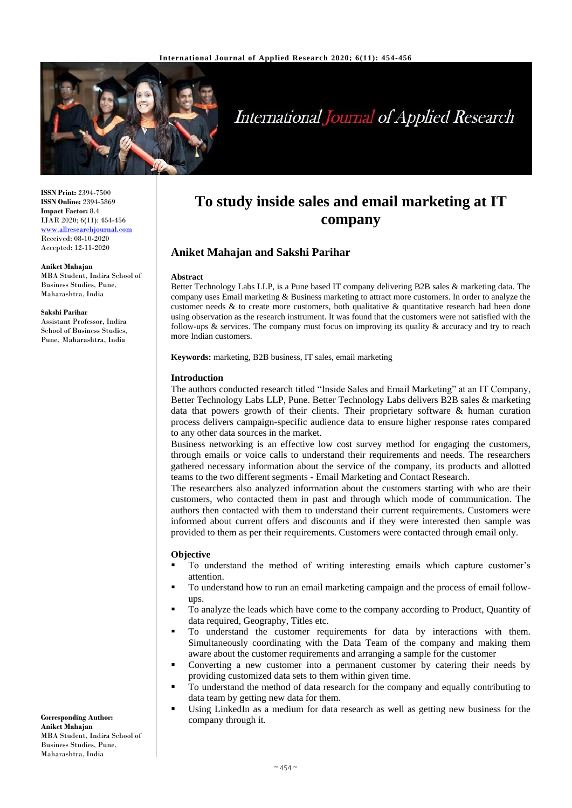

# **International Journal of Applied Research**

**ISSN Print:** 2394-7500 **ISSN Online:** 2394-5869 **Impact Factor:** 8.4 IJAR 2020; 6(11): 454-456 <www.allresearchjournal.com> Received: 08-10-2020 Accepted: 12-11-2020

#### **Aniket Mahajan**

MBA Student, Indira School of Business Studies, Pune, Maharashtra, India

#### **Sakshi Parihar**

Assistant Professor, Indira School of Business Studies, Pune, Maharashtra, India

# **To study inside sales and email marketing at IT company**

# **Aniket Mahajan and Sakshi Parihar**

#### **Abstract**

Better Technology Labs LLP, is a Pune based IT company delivering B2B sales & marketing data. The company uses Email marketing  $&$  Business marketing to attract more customers. In order to analyze the customer needs  $\&$  to create more customers, both qualitative  $\&$  quantitative research had been done using observation as the research instrument. It was found that the customers were not satisfied with the follow-ups & services. The company must focus on improving its quality & accuracy and try to reach more Indian customers.

**Keywords:** marketing, B2B business, IT sales, email marketing

#### **Introduction**

The authors conducted research titled "Inside Sales and Email Marketing" at an IT Company, Better Technology Labs LLP, Pune. Better Technology Labs delivers B2B sales & marketing data that powers growth of their clients. Their proprietary software & human curation process delivers campaign-specific audience data to ensure higher response rates compared to any other data sources in the market.

Business networking is an effective low cost survey method for engaging the customers, through emails or voice calls to understand their requirements and needs. The researchers gathered necessary information about the service of the company, its products and allotted teams to the two different segments - Email Marketing and Contact Research.

The researchers also analyzed information about the customers starting with who are their customers, who contacted them in past and through which mode of communication. The authors then contacted with them to understand their current requirements. Customers were informed about current offers and discounts and if they were interested then sample was provided to them as per their requirements. Customers were contacted through email only.

#### **Objective**

- To understand the method of writing interesting emails which capture customer's attention.
- To understand how to run an email marketing campaign and the process of email followups.
- To analyze the leads which have come to the company according to Product, Quantity of data required, Geography, Titles etc.
- To understand the customer requirements for data by interactions with them. Simultaneously coordinating with the Data Team of the company and making them aware about the customer requirements and arranging a sample for the customer
- Converting a new customer into a permanent customer by catering their needs by providing customized data sets to them within given time.
- To understand the method of data research for the company and equally contributing to data team by getting new data for them.
- Using LinkedIn as a medium for data research as well as getting new business for the company through it.

**Corresponding Author: Aniket Mahajan**  MBA Student, Indira School of Business Studies, Pune, Maharashtra, India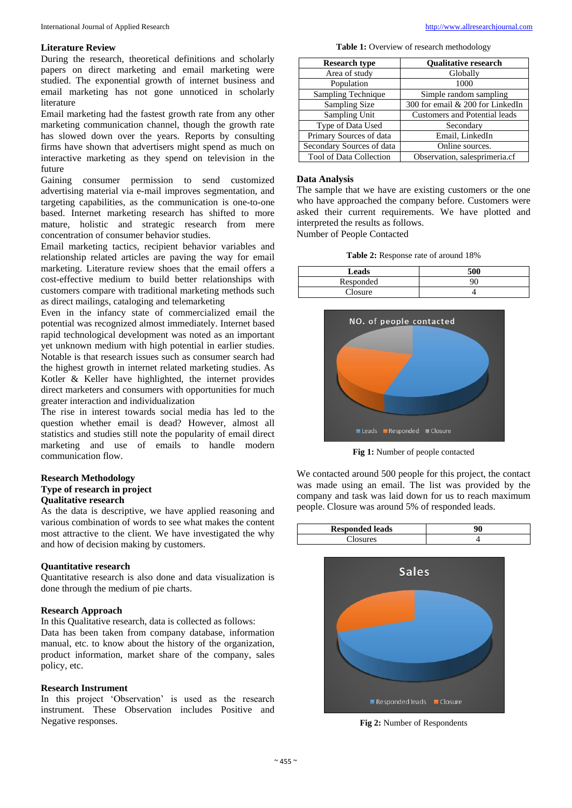#### **Literature Review**

During the research, theoretical definitions and scholarly papers on direct marketing and email marketing were studied. The exponential growth of internet business and email marketing has not gone unnoticed in scholarly literature

Email marketing had the fastest growth rate from any other marketing communication channel, though the growth rate has slowed down over the years. Reports by consulting firms have shown that advertisers might spend as much on interactive marketing as they spend on television in the future

Gaining consumer permission to send customized advertising material via e-mail improves segmentation, and targeting capabilities, as the communication is one-to-one based. Internet marketing research has shifted to more mature, holistic and strategic research from mere concentration of consumer behavior studies.

Email marketing tactics, recipient behavior variables and relationship related articles are paving the way for email marketing. Literature review shoes that the email offers a cost-effective medium to build better relationships with customers compare with traditional marketing methods such as direct mailings, cataloging and telemarketing

Even in the infancy state of commercialized email the potential was recognized almost immediately. Internet based rapid technological development was noted as an important yet unknown medium with high potential in earlier studies. Notable is that research issues such as consumer search had the highest growth in internet related marketing studies. As Kotler & Keller have highlighted, the internet provides direct marketers and consumers with opportunities for much greater interaction and individualization

The rise in interest towards social media has led to the question whether email is dead? However, almost all statistics and studies still note the popularity of email direct marketing and use of emails to handle modern communication flow.

#### **Research Methodology Type of research in project Qualitative research**

As the data is descriptive, we have applied reasoning and various combination of words to see what makes the content most attractive to the client. We have investigated the why and how of decision making by customers.

# **Quantitative research**

Quantitative research is also done and data visualization is done through the medium of pie charts.

#### **Research Approach**

In this Qualitative research, data is collected as follows:

Data has been taken from company database, information manual, etc. to know about the history of the organization, product information, market share of the company, sales policy, etc.

# **Research Instrument**

In this project 'Observation' is used as the research instrument. These Observation includes Positive and Negative responses.

Table 1: Overview of research methodology

| <b>Research type</b>           | <b>Oualitative research</b>          |
|--------------------------------|--------------------------------------|
| Area of study                  | Globally                             |
| Population                     | 1000                                 |
| Sampling Technique             | Simple random sampling               |
| Sampling Size                  | 300 for email & 200 for LinkedIn     |
| Sampling Unit                  | <b>Customers and Potential leads</b> |
| Type of Data Used              | Secondary                            |
| Primary Sources of data        | Email, LinkedIn                      |
| Secondary Sources of data      | Online sources.                      |
| <b>Tool of Data Collection</b> | Observation, salesprimeria.cf        |

### **Data Analysis**

The sample that we have are existing customers or the one who have approached the company before. Customers were asked their current requirements. We have plotted and interpreted the results as follows. Number of People Contacted

**Table 2:** Response rate of around 18%

| Leads     | 500 |
|-----------|-----|
| Responded | 90  |
| Closure   |     |
|           |     |



**Fig 1:** Number of people contacted

We contacted around 500 people for this project, the contact was made using an email. The list was provided by the company and task was laid down for us to reach maximum people. Closure was around 5% of responded leads.

| <b>Responded leads</b> | ۵A |
|------------------------|----|
| res                    |    |



**Fig 2:** Number of Respondents